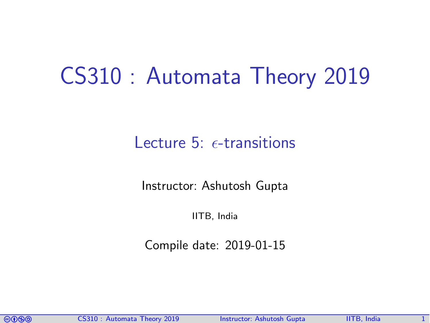# CS310 : Automata Theory 2019

### Lecture  $5:$   $\epsilon$ -transitions

Instructor: [Ashutosh Gupta](http://www.cse.iitb.ac.in/~akg/)

IITB, India

Compile date: 2019-01-15

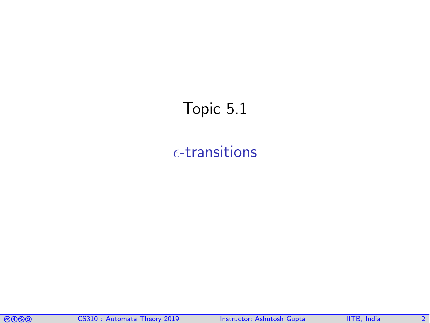# <span id="page-1-0"></span>Topic 5.1

#### $\epsilon$ [-transitions](#page-1-0)

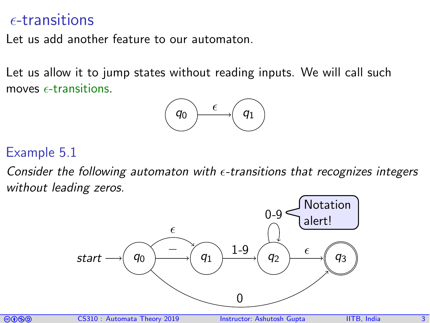### $\epsilon$ -transitions

Let us add another feature to our automaton.

Let us allow it to jump states without reading inputs. We will call such moves  $\epsilon$ -transitions.



#### Example 5.1

Consider the following automaton with  $\epsilon$ -transitions that recognizes integers without leading zeros.



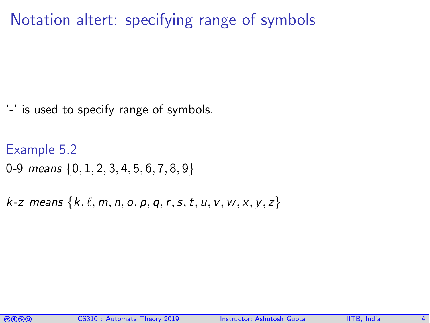Notation altert: specifying range of symbols

'-' is used to specify range of symbols.

Example 5.2 0-9 means {0, 1, 2, 3, 4, 5, 6, 7, 8, 9}

 $k$ -z means  $\{k, \ell, m, n, o, p, q, r, s, t, u, v, w, x, y, z\}$ 

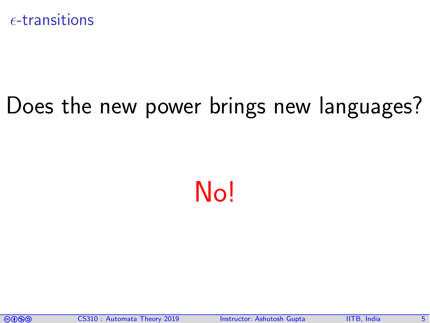

# Does the new power brings new languages?

No!

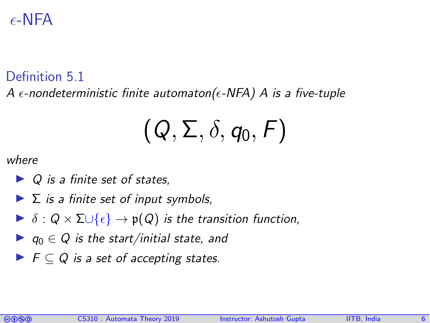## $\epsilon$ -NFA

#### Definition 5.1

A  $\epsilon$ -nondeterministic finite automaton( $\epsilon$ -NFA) A is a five-tuple

$$
\left(\mathit{Q},\Sigma,\delta,q_{0},\mathit{F}\right)
$$

where

- $\triangleright$  Q is a finite set of states.
- $\blacktriangleright$   $\Sigma$  is a finite set of input symbols,
- $\triangleright$   $\delta$  :  $Q \times \Sigma \cup \{\epsilon\} \rightarrow \mathfrak{p}(Q)$  is the transition function,
- $\blacktriangleright$   $q_0 \in Q$  is the start/initial state, and
- $\blacktriangleright$   $\vdash$   $\vdash$   $\subset$   $Q$  is a set of accepting states.

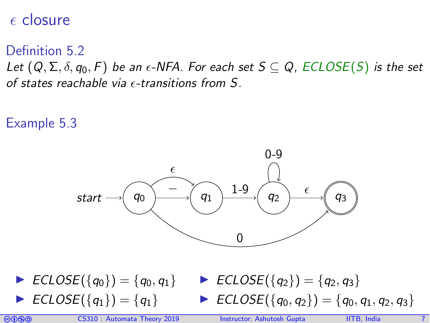#### $\epsilon$  closure

Definition 5.2 Let  $(Q, \Sigma, \delta, q_0, F)$  be an  $\epsilon$ -NFA. For each set  $S \subseteq Q$ , ECLOSE(S) is the set of states reachable via  $\epsilon$ -transitions from S.

Example 5.3



► ECLOSE(
$$
\{q_0\}
$$
) = { $q_0, q_1$ }  
\n▶ ECLOSE( $\{q_2\}$ ) = { $q_2, q_3$ }  
\n▶ ECLOSE( $\{q_1\}$ ) = { $q_1$ }  
\n▶ ECLOSE( $\{q_0, q_2\}$ ) = { $q_0, q_1, q_2, q_3$ }

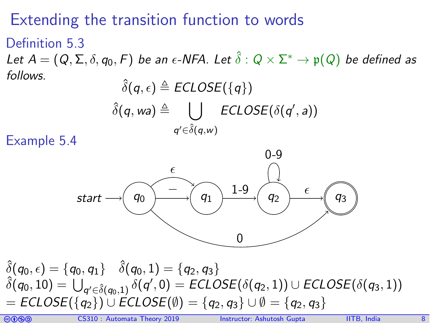## Extending the transition function to words

#### Definition 5.3 Let  $A=(Q,\Sigma,\delta,q_0,F)$  be an  $\epsilon$ -NFA. Let  $\hat\delta:Q\times\Sigma^*\to\mathfrak p(Q)$  be defined as follows.

$$
\hat{\delta}(q,\epsilon) \triangleq ECLOSE(\{q\})
$$
  

$$
\hat{\delta}(q, wa) \triangleq \bigcup_{q' \in \hat{\delta}(q,w)} ECLOSE(\delta(q', a))
$$

Example 5.4



 $\hat{\delta}(q_0, \epsilon) = \{q_0, q_1\} \quad \hat{\delta}(q_0, 1) = \{q_2, q_3\}$  $\hat{\delta}(q_0,10)=\bigcup_{q'\in\hat{\delta}(q_0,1)}\delta(q',0)=\text{\textit{ECLOSE}}(\delta(q_2,1))\cup\text{\textit{ECLOSE}}(\delta(q_3,1))$  $=$  ECLOSE({q<sub>2</sub>}) ∪ ECLOSE( $\emptyset$ ) = {q<sub>2</sub>, q<sub>3</sub>} ∪  $\emptyset$  = {q<sub>2</sub>, q<sub>3</sub>}

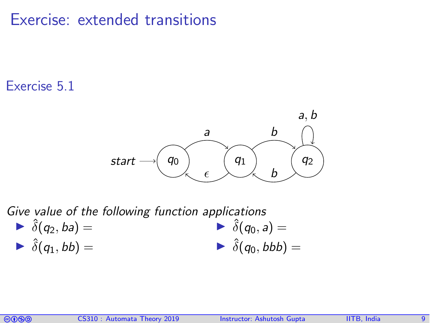### Exercise: extended transitions

Exercise 5.1



Give value of the following function applications  $\blacktriangleright$   $\hat{\delta}(q_2, ba) =$  $\blacktriangleright$   $\hat{\delta}(q_1, bb) =$  $\blacktriangleright \hat{\delta}(q_0, a) =$  $\blacktriangleright \hat{\delta}(q_0, bbb) =$ 

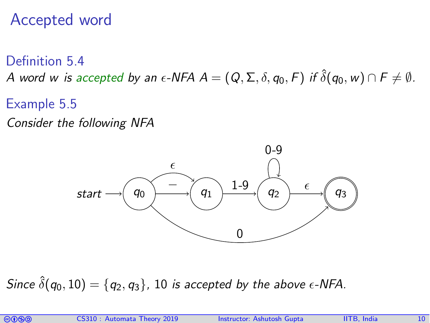## Accepted word

Definition 5.4 A word w is accepted by an  $\epsilon$ -NFA  $A = (Q, \Sigma, \delta, q_0, F)$  if  $\hat{\delta}(q_0, w) \cap F \neq \emptyset$ .

#### Example 5.5

Consider the following NFA



Since  $\hat{\delta}(q_0, 10) = \{q_2, q_3\}$ , 10 is accepted by the above  $\epsilon$ -NFA.

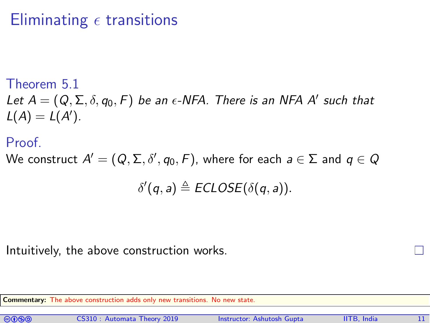## Eliminating  $\epsilon$  transitions

#### Theorem 5.1

<span id="page-10-0"></span>Let  $A = (Q, \Sigma, \delta, q_0, F)$  be an  $\epsilon$ -NFA. There is an NFA A' such that  $L(A) = L(A')$ .

#### **Proof**

We construct  $A' = (Q, \Sigma, \delta', q_0, \digamma)$ , where for each  $a \in \Sigma$  and  $q \in Q$  $\delta'(q, a) \triangleq \text{ECLOSE}(\delta(q, a)).$ 

Intuitively, the above construction works.

Commentary: The above construction adds only new transitions. No new state.

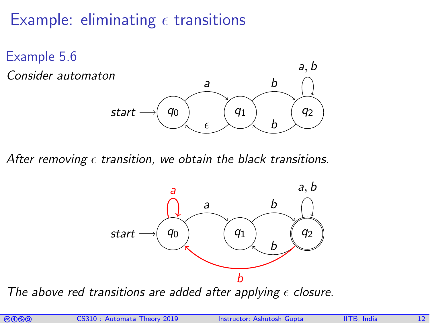# Example: eliminating  $\epsilon$  transitions



After removing  $\epsilon$  transition, we obtain the black transitions.



The above red transitions are added after applying  $\epsilon$  closure.

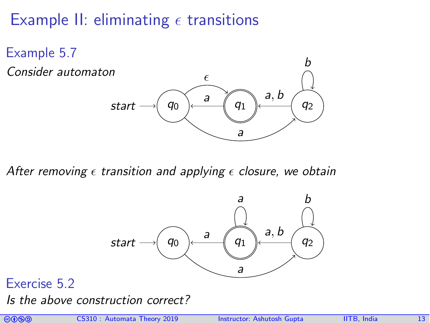# Example II: eliminating  $\epsilon$  transitions

Example 5.7



After removing  $\epsilon$  transition and applying  $\epsilon$  closure, we obtain



#### Exercise 5.2

Is the above construction correct?

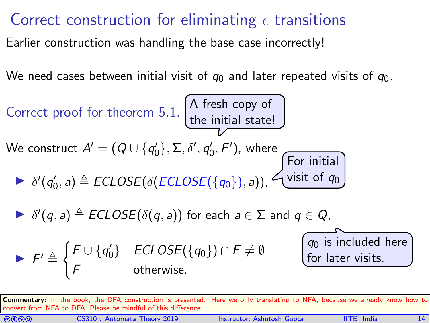## Correct construction for eliminating  $\epsilon$  transitions

Earlier construction was handling the base case incorrectly!

We need cases between initial visit of  $q_0$  and later repeated visits of  $q_0$ .

Correct proof for theorem 5.1. 
$$
\left[\begin{array}{c}\n\text{A fresh copy of} \\
\text{the initial state!} \\
\hline\n\end{array}\right]
$$

\nWe construct  $A' = (Q \cup \{q'_0\}, \Sigma, \delta', q'_0, F')$ , where  $\delta'(q'_0, a) \triangleq ECLOSE(\delta(ECLOSE(\{q_0\}), a)),$   $\left[\begin{array}{c}\n\text{For initial} \\
\hline\n\end{array}\right]$ 

\n•  $\delta'(q, a) \triangleq ECLOSE(\delta(q, a))$  for each  $a \in \Sigma$  and  $q \in Q$ ,

\n•  $F' \triangleq \left\{\begin{array}{cc} F \cup \{q'_0\} & ECLOSE(\{q_0\}) \cap F \neq \emptyset \\ \hline\nF & \text{otherwise.}\n\end{array}\right\}$ 

Commentary: In the book, the DFA construction is presented. Here we only translating to NFA, because we already know how to<br>convert from NFA to DFA. Please be mindful of this difference convert from NFA to DFA. Please be mindful of this difference.

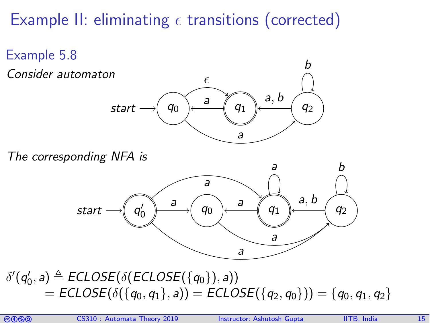# Example II: eliminating  $\epsilon$  transitions (corrected)



The corresponding NFA is



 $\delta'(q'_0, a) \triangleq \textit{ECLOSE}(\delta(\textit{ECLOSE}(\{q_0\}), a))$  $=$  ECLOSE( $\delta$ { $q_0, q_1$ }, a)) = ECLOSE( $\{q_2, q_0\}$ )) =  $\{q_0, q_1, q_2\}$ 

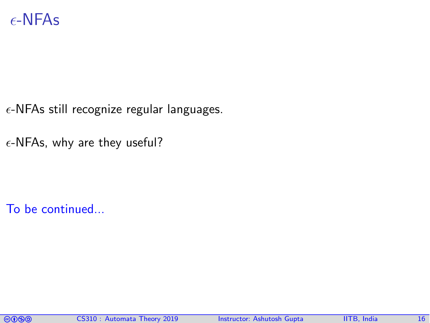#### $\epsilon$ -NFAs

 $\epsilon$ -NFAs still recognize regular languages.

 $\epsilon$ -NFAs, why are they useful?

To be continued...